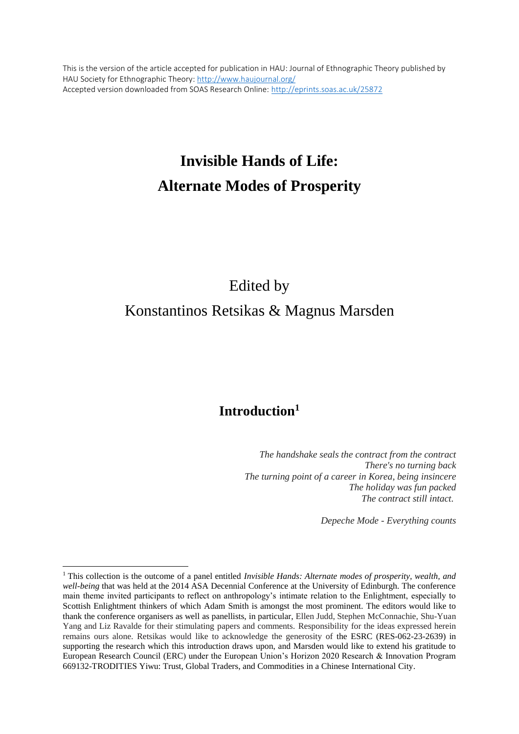This is the version of the article accepted for publication in HAU: Journal of Ethnographic Theory published by HAU Society for Ethnographic Theory:<http://www.haujournal.org/> Accepted version downloaded from SOAS Research Online:<http://eprints.soas.ac.uk/25872>

# **Invisible Hands of Life: Alternate Modes of Prosperity**

### Edited by

### Konstantinos Retsikas & Magnus Marsden

## **Introduction<sup>1</sup>**

*The handshake seals the contract from the contract There's no turning back The turning point of a career in Korea, being insincere The holiday was fun packed The contract still intact.*

*Depeche Mode - Everything counts*

**.** 

<sup>1</sup> This collection is the outcome of a panel entitled *Invisible Hands: Alternate modes of prosperity, wealth, and well-being* that was held at the 2014 ASA Decennial Conference at the University of Edinburgh. The conference main theme invited participants to reflect on anthropology's intimate relation to the Enlightment, especially to Scottish Enlightment thinkers of which Adam Smith is amongst the most prominent. The editors would like to thank the conference organisers as well as panellists, in particular, Ellen Judd, Stephen McConnachie, Shu-Yuan Yang and Liz Ravalde for their stimulating papers and comments. Responsibility for the ideas expressed herein remains ours alone. Retsikas would like to acknowledge the generosity of the ESRC (RES-062-23-2639) in supporting the research which this introduction draws upon, and Marsden would like to extend his gratitude to European Research Council (ERC) under the European Union's Horizon 2020 Research & Innovation Program 669132-TRODITIES Yiwu: Trust, Global Traders, and Commodities in a Chinese International City.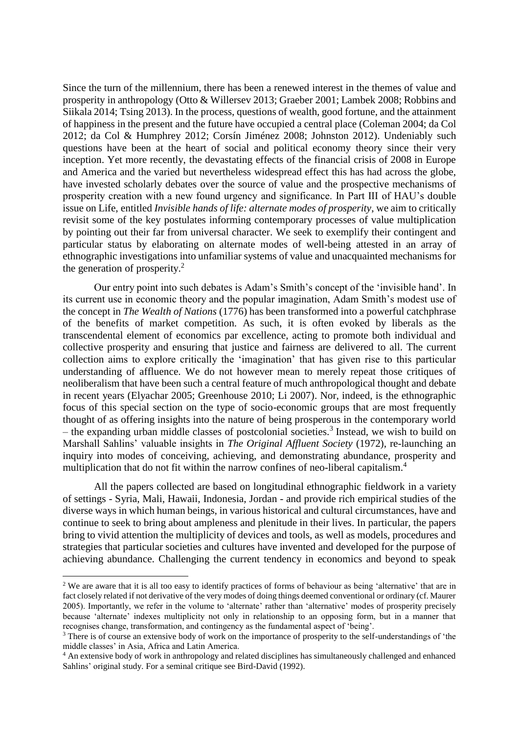Since the turn of the millennium, there has been a renewed interest in the themes of value and prosperity in anthropology (Otto & Willersev 2013; Graeber 2001; Lambek 2008; Robbins and Siikala 2014; Tsing 2013). In the process, questions of wealth, good fortune, and the attainment of happiness in the present and the future have occupied a central place (Coleman 2004; da Col 2012; da Col & Humphrey 2012; Corsín Jiménez 2008; Johnston 2012). Undeniably such questions have been at the heart of social and political economy theory since their very inception. Yet more recently, the devastating effects of the financial crisis of 2008 in Europe and America and the varied but nevertheless widespread effect this has had across the globe, have invested scholarly debates over the source of value and the prospective mechanisms of prosperity creation with a new found urgency and significance. In Part III of HAU's double issue on Life, entitled *Invisible hands of life: alternate modes of prosperity*, we aim to critically revisit some of the key postulates informing contemporary processes of value multiplication by pointing out their far from universal character. We seek to exemplify their contingent and particular status by elaborating on alternate modes of well-being attested in an array of ethnographic investigations into unfamiliar systems of value and unacquainted mechanisms for the generation of prosperity. 2

Our entry point into such debates is Adam's Smith's concept of the 'invisible hand'. In its current use in economic theory and the popular imagination, Adam Smith's modest use of the concept in *The Wealth of Nations* (1776) has been transformed into a powerful catchphrase of the benefits of market competition. As such, it is often evoked by liberals as the transcendental element of economics par excellence, acting to promote both individual and collective prosperity and ensuring that justice and fairness are delivered to all. The current collection aims to explore critically the 'imagination' that has given rise to this particular understanding of affluence. We do not however mean to merely repeat those critiques of neoliberalism that have been such a central feature of much anthropological thought and debate in recent years (Elyachar 2005; Greenhouse 2010; Li 2007). Nor, indeed, is the ethnographic focus of this special section on the type of socio-economic groups that are most frequently thought of as offering insights into the nature of being prosperous in the contemporary world – the expanding urban middle classes of postcolonial societies.<sup>3</sup> Instead, we wish to build on Marshall Sahlins' valuable insights in *The Original Affluent Society* (1972), re-launching an inquiry into modes of conceiving, achieving, and demonstrating abundance, prosperity and multiplication that do not fit within the narrow confines of neo-liberal capitalism.<sup>4</sup>

All the papers collected are based on longitudinal ethnographic fieldwork in a variety of settings - Syria, Mali, Hawaii, Indonesia, Jordan - and provide rich empirical studies of the diverse ways in which human beings, in various historical and cultural circumstances, have and continue to seek to bring about ampleness and plenitude in their lives. In particular, the papers bring to vivid attention the multiplicity of devices and tools, as well as models, procedures and strategies that particular societies and cultures have invented and developed for the purpose of achieving abundance. Challenging the current tendency in economics and beyond to speak

 $\overline{a}$ 

<sup>&</sup>lt;sup>2</sup> We are aware that it is all too easy to identify practices of forms of behaviour as being 'alternative' that are in fact closely related if not derivative of the very modes of doing things deemed conventional or ordinary (cf. Maurer 2005). Importantly, we refer in the volume to 'alternate' rather than 'alternative' modes of prosperity precisely because 'alternate' indexes multiplicity not only in relationship to an opposing form, but in a manner that recognises change, transformation, and contingency as the fundamental aspect of 'being'.

<sup>&</sup>lt;sup>3</sup> There is of course an extensive body of work on the importance of prosperity to the self-understandings of 'the middle classes' in Asia, Africa and Latin America.

<sup>4</sup> An extensive body of work in anthropology and related disciplines has simultaneously challenged and enhanced Sahlins' original study. For a seminal critique see Bird-David (1992).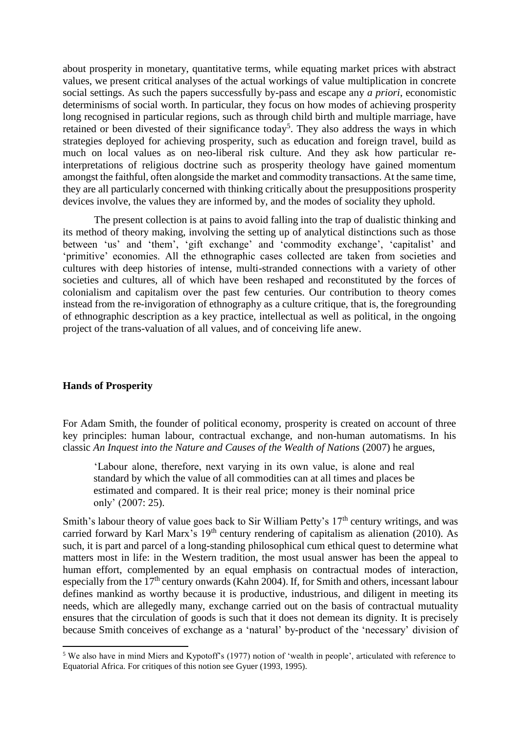about prosperity in monetary, quantitative terms, while equating market prices with abstract values, we present critical analyses of the actual workings of value multiplication in concrete social settings. As such the papers successfully by-pass and escape any *a priori*, economistic determinisms of social worth. In particular, they focus on how modes of achieving prosperity long recognised in particular regions, such as through child birth and multiple marriage, have retained or been divested of their significance today<sup>5</sup>. They also address the ways in which strategies deployed for achieving prosperity, such as education and foreign travel, build as much on local values as on neo-liberal risk culture. And they ask how particular reinterpretations of religious doctrine such as prosperity theology have gained momentum amongst the faithful, often alongside the market and commodity transactions. At the same time, they are all particularly concerned with thinking critically about the presuppositions prosperity devices involve, the values they are informed by, and the modes of sociality they uphold.

The present collection is at pains to avoid falling into the trap of dualistic thinking and its method of theory making, involving the setting up of analytical distinctions such as those between 'us' and 'them', 'gift exchange' and 'commodity exchange', 'capitalist' and 'primitive' economies. All the ethnographic cases collected are taken from societies and cultures with deep histories of intense, multi-stranded connections with a variety of other societies and cultures, all of which have been reshaped and reconstituted by the forces of colonialism and capitalism over the past few centuries. Our contribution to theory comes instead from the re-invigoration of ethnography as a culture critique, that is, the foregrounding of ethnographic description as a key practice, intellectual as well as political, in the ongoing project of the trans-valuation of all values, and of conceiving life anew.

#### **Hands of Prosperity**

**.** 

For Adam Smith, the founder of political economy, prosperity is created on account of three key principles: human labour, contractual exchange, and non-human automatisms. In his classic *An Inquest into the Nature and Causes of the Wealth of Nations* (2007) he argues,

'Labour alone, therefore, next varying in its own value, is alone and real standard by which the value of all commodities can at all times and places be estimated and compared. It is their real price; money is their nominal price only' (2007: 25).

Smith's labour theory of value goes back to Sir William Petty's 17<sup>th</sup> century writings, and was carried forward by Karl Marx's 19<sup>th</sup> century rendering of capitalism as alienation (2010). As such, it is part and parcel of a long-standing philosophical cum ethical quest to determine what matters most in life: in the Western tradition, the most usual answer has been the appeal to human effort, complemented by an equal emphasis on contractual modes of interaction, especially from the  $17<sup>th</sup>$  century onwards (Kahn 2004). If, for Smith and others, incessant labour defines mankind as worthy because it is productive, industrious, and diligent in meeting its needs, which are allegedly many, exchange carried out on the basis of contractual mutuality ensures that the circulation of goods is such that it does not demean its dignity. It is precisely because Smith conceives of exchange as a 'natural' by-product of the 'necessary' division of

<sup>5</sup> We also have in mind Miers and Kypotoff's (1977) notion of 'wealth in people', articulated with reference to Equatorial Africa. For critiques of this notion see Gyuer (1993, 1995).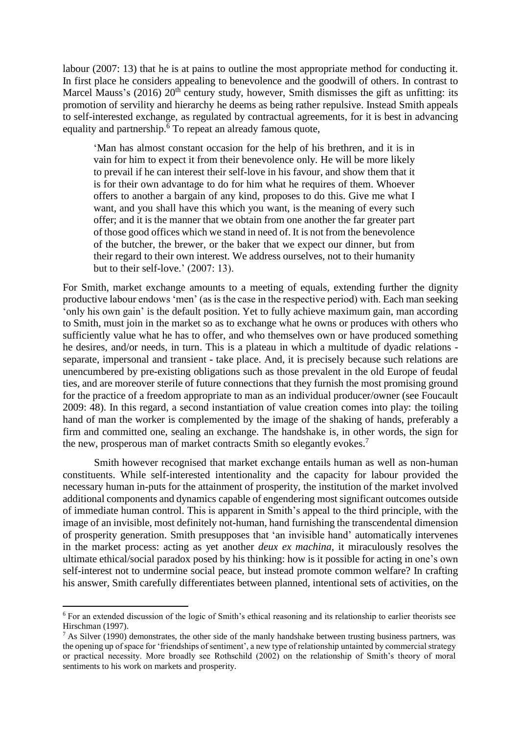labour (2007: 13) that he is at pains to outline the most appropriate method for conducting it. In first place he considers appealing to benevolence and the goodwill of others. In contrast to Marcel Mauss's (2016)  $20^{th}$  century study, however, Smith dismisses the gift as unfitting: its promotion of servility and hierarchy he deems as being rather repulsive. Instead Smith appeals to self-interested exchange, as regulated by contractual agreements, for it is best in advancing equality and partnership.<sup>6</sup> To repeat an already famous quote,

'Man has almost constant occasion for the help of his brethren, and it is in vain for him to expect it from their benevolence only. He will be more likely to prevail if he can interest their self-love in his favour, and show them that it is for their own advantage to do for him what he requires of them. Whoever offers to another a bargain of any kind, proposes to do this. Give me what I want, and you shall have this which you want, is the meaning of every such offer; and it is the manner that we obtain from one another the far greater part of those good offices which we stand in need of. It is not from the benevolence of the butcher, the brewer, or the baker that we expect our dinner, but from their regard to their own interest. We address ourselves, not to their humanity but to their self-love.' (2007: 13).

For Smith, market exchange amounts to a meeting of equals, extending further the dignity productive labour endows 'men' (as is the case in the respective period) with. Each man seeking 'only his own gain' is the default position. Yet to fully achieve maximum gain, man according to Smith, must join in the market so as to exchange what he owns or produces with others who sufficiently value what he has to offer, and who themselves own or have produced something he desires, and/or needs, in turn. This is a plateau in which a multitude of dyadic relations separate, impersonal and transient - take place. And, it is precisely because such relations are unencumbered by pre-existing obligations such as those prevalent in the old Europe of feudal ties, and are moreover sterile of future connections that they furnish the most promising ground for the practice of a freedom appropriate to man as an individual producer/owner (see Foucault 2009: 48). In this regard, a second instantiation of value creation comes into play: the toiling hand of man the worker is complemented by the image of the shaking of hands, preferably a firm and committed one, sealing an exchange. The handshake is, in other words, the sign for the new, prosperous man of market contracts Smith so elegantly evokes.<sup>7</sup>

Smith however recognised that market exchange entails human as well as non-human constituents. While self-interested intentionality and the capacity for labour provided the necessary human in-puts for the attainment of prosperity, the institution of the market involved additional components and dynamics capable of engendering most significant outcomes outside of immediate human control. This is apparent in Smith's appeal to the third principle, with the image of an invisible, most definitely not-human, hand furnishing the transcendental dimension of prosperity generation. Smith presupposes that 'an invisible hand' automatically intervenes in the market process: acting as yet another *deux ex machina*, it miraculously resolves the ultimate ethical/social paradox posed by his thinking: how is it possible for acting in one's own self-interest not to undermine social peace, but instead promote common welfare? In crafting his answer, Smith carefully differentiates between planned, intentional sets of activities, on the

1

<sup>6</sup> For an extended discussion of the logic of Smith's ethical reasoning and its relationship to earlier theorists see Hirschman (1997).

 $<sup>7</sup>$  As Silver (1990) demonstrates, the other side of the manly handshake between trusting business partners, was</sup> the opening up of space for 'friendships of sentiment', a new type of relationship untainted by commercial strategy or practical necessity. More broadly see Rothschild (2002) on the relationship of Smith's theory of moral sentiments to his work on markets and prosperity.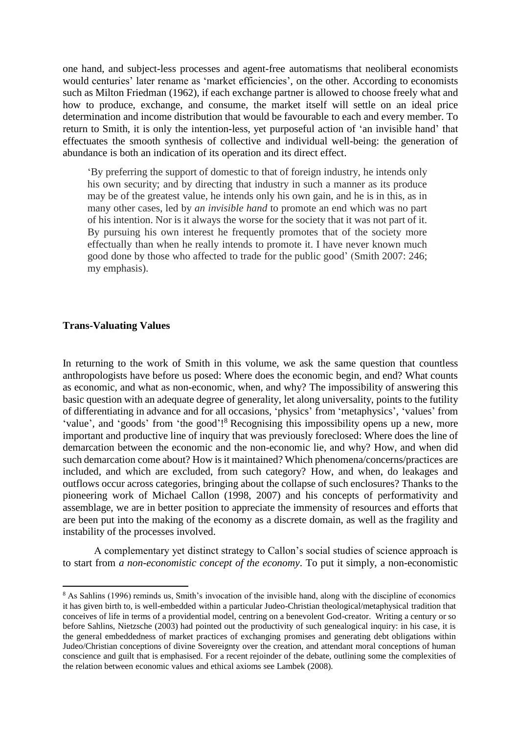one hand, and subject-less processes and agent-free automatisms that neoliberal economists would centuries' later rename as 'market efficiencies', on the other. According to economists such as Milton Friedman (1962), if each exchange partner is allowed to choose freely what and how to produce, exchange, and consume, the market itself will settle on an ideal price determination and income distribution that would be favourable to each and every member. To return to Smith, it is only the intention-less, yet purposeful action of 'an invisible hand' that effectuates the smooth synthesis of collective and individual well-being: the generation of abundance is both an indication of its operation and its direct effect.

'By preferring the support of domestic to that of foreign industry, he intends only his own security; and by directing that industry in such a manner as its produce may be of the greatest value, he intends only his own gain, and he is in this, as in many other cases, led by *an invisible hand* to promote an end which was no part of his intention. Nor is it always the worse for the society that it was not part of it. By pursuing his own interest he frequently promotes that of the society more effectually than when he really intends to promote it. I have never known much good done by those who affected to trade for the public good' (Smith 2007: 246; my emphasis).

#### **Trans-Valuating Values**

**.** 

In returning to the work of Smith in this volume, we ask the same question that countless anthropologists have before us posed: Where does the economic begin, and end? What counts as economic, and what as non-economic, when, and why? The impossibility of answering this basic question with an adequate degree of generality, let along universality, points to the futility of differentiating in advance and for all occasions, 'physics' from 'metaphysics', 'values' from 'value', and 'goods' from 'the good'!<sup>8</sup> Recognising this impossibility opens up a new, more important and productive line of inquiry that was previously foreclosed: Where does the line of demarcation between the economic and the non-economic lie, and why? How, and when did such demarcation come about? How is it maintained? Which phenomena/concerns/practices are included, and which are excluded, from such category? How, and when, do leakages and outflows occur across categories, bringing about the collapse of such enclosures? Thanks to the pioneering work of Michael Callon (1998, 2007) and his concepts of performativity and assemblage, we are in better position to appreciate the immensity of resources and efforts that are been put into the making of the economy as a discrete domain, as well as the fragility and instability of the processes involved.

A complementary yet distinct strategy to Callon's social studies of science approach is to start from *a non-economistic concept of the economy*. To put it simply, a non-economistic

<sup>8</sup> As Sahlins (1996) reminds us, Smith's invocation of the invisible hand, along with the discipline of economics it has given birth to, is well-embedded within a particular Judeo-Christian theological/metaphysical tradition that conceives of life in terms of a providential model, centring on a benevolent God-creator. Writing a century or so before Sahlins, Nietzsche (2003) had pointed out the productivity of such genealogical inquiry: in his case, it is the general embeddedness of market practices of exchanging promises and generating debt obligations within Judeo/Christian conceptions of divine Sovereignty over the creation, and attendant moral conceptions of human conscience and guilt that is emphasised. For a recent rejoinder of the debate, outlining some the complexities of the relation between economic values and ethical axioms see Lambek (2008).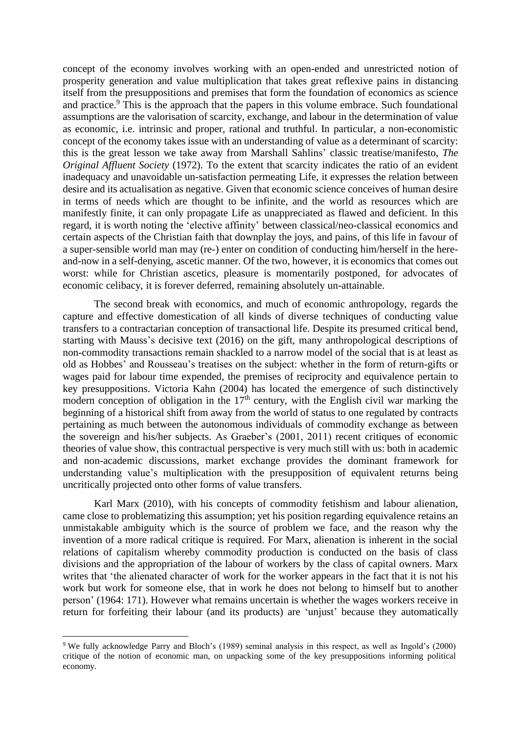concept of the economy involves working with an open-ended and unrestricted notion of prosperity generation and value multiplication that takes great reflexive pains in distancing itself from the presuppositions and premises that form the foundation of economics as science and practice.<sup>9</sup> This is the approach that the papers in this volume embrace. Such foundational assumptions are the valorisation of scarcity, exchange, and labour in the determination of value as economic, i.e. intrinsic and proper, rational and truthful. In particular, a non-economistic concept of the economy takes issue with an understanding of value as a determinant of scarcity: this is the great lesson we take away from Marshall Sahlins' classic treatise/manifesto, *The Original Affluent Society* (1972). To the extent that scarcity indicates the ratio of an evident inadequacy and unavoidable un-satisfaction permeating Life, it expresses the relation between desire and its actualisation as negative. Given that economic science conceives of human desire in terms of needs which are thought to be infinite, and the world as resources which are manifestly finite, it can only propagate Life as unappreciated as flawed and deficient. In this regard, it is worth noting the 'elective affinity' between classical/neo-classical economics and certain aspects of the Christian faith that downplay the joys, and pains, of this life in favour of a super-sensible world man may (re-) enter on condition of conducting him/herself in the hereand-now in a self-denying, ascetic manner. Of the two, however, it is economics that comes out worst: while for Christian ascetics, pleasure is momentarily postponed, for advocates of economic celibacy, it is forever deferred, remaining absolutely un-attainable.

The second break with economics, and much of economic anthropology, regards the capture and effective domestication of all kinds of diverse techniques of conducting value transfers to a contractarian conception of transactional life. Despite its presumed critical bend, starting with Mauss's decisive text (2016) on the gift, many anthropological descriptions of non-commodity transactions remain shackled to a narrow model of the social that is at least as old as Hobbes' and Rousseau's treatises on the subject: whether in the form of return-gifts or wages paid for labour time expended, the premises of reciprocity and equivalence pertain to key presuppositions. Victoria Kahn (2004) has located the emergence of such distinctively modern conception of obligation in the  $17<sup>th</sup>$  century, with the English civil war marking the beginning of a historical shift from away from the world of status to one regulated by contracts pertaining as much between the autonomous individuals of commodity exchange as between the sovereign and his/her subjects. As Graeber's (2001, 2011) recent critiques of economic theories of value show, this contractual perspective is very much still with us: both in academic and non-academic discussions, market exchange provides the dominant framework for understanding value's multiplication with the presupposition of equivalent returns being uncritically projected onto other forms of value transfers.

Karl Marx (2010), with his concepts of commodity fetishism and labour alienation, came close to problematizing this assumption; yet his position regarding equivalence retains an unmistakable ambiguity which is the source of problem we face, and the reason why the invention of a more radical critique is required. For Marx, alienation is inherent in the social relations of capitalism whereby commodity production is conducted on the basis of class divisions and the appropriation of the labour of workers by the class of capital owners. Marx writes that 'the alienated character of work for the worker appears in the fact that it is not his work but work for someone else, that in work he does not belong to himself but to another person' (1964: 171). However what remains uncertain is whether the wages workers receive in return for forfeiting their labour (and its products) are 'unjust' because they automatically

1

<sup>&</sup>lt;sup>9</sup> We fully acknowledge Parry and Bloch's (1989) seminal analysis in this respect, as well as Ingold's (2000) critique of the notion of economic man, on unpacking some of the key presuppositions informing political economy.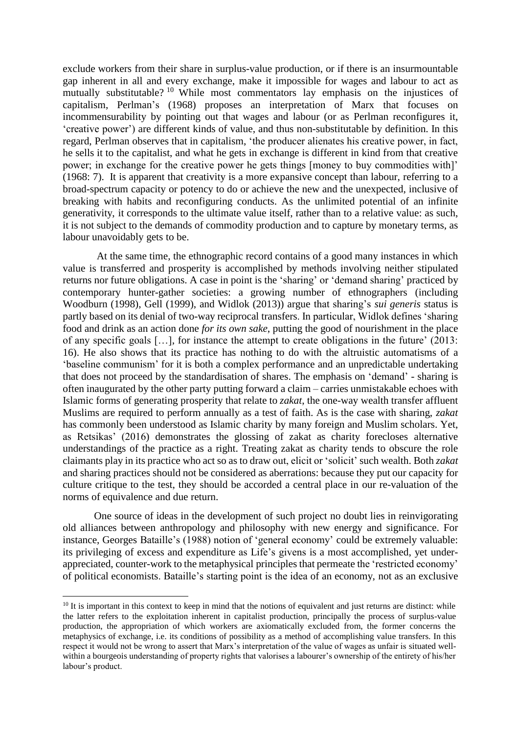exclude workers from their share in surplus-value production, or if there is an insurmountable gap inherent in all and every exchange, make it impossible for wages and labour to act as mutually substitutable?<sup>10</sup> While most commentators lay emphasis on the injustices of capitalism, Perlman's (1968) proposes an interpretation of Marx that focuses on incommensurability by pointing out that wages and labour (or as Perlman reconfigures it, 'creative power') are different kinds of value, and thus non-substitutable by definition. In this regard, Perlman observes that in capitalism, 'the producer alienates his creative power, in fact, he sells it to the capitalist, and what he gets in exchange is different in kind from that creative power; in exchange for the creative power he gets things [money to buy commodities with]' (1968: 7). It is apparent that creativity is a more expansive concept than labour, referring to a broad-spectrum capacity or potency to do or achieve the new and the unexpected, inclusive of breaking with habits and reconfiguring conducts. As the unlimited potential of an infinite generativity, it corresponds to the ultimate value itself, rather than to a relative value: as such, it is not subject to the demands of commodity production and to capture by monetary terms, as labour unavoidably gets to be.

At the same time, the ethnographic record contains of a good many instances in which value is transferred and prosperity is accomplished by methods involving neither stipulated returns nor future obligations. A case in point is the 'sharing' or 'demand sharing' practiced by contemporary hunter-gather societies: a growing number of ethnographers (including Woodburn (1998), Gell (1999), and Widlok (2013)) argue that sharing's *sui generis* status is partly based on its denial of two-way reciprocal transfers. In particular, Widlok defines 'sharing food and drink as an action done *for its own sake*, putting the good of nourishment in the place of any specific goals […], for instance the attempt to create obligations in the future' (2013: 16). He also shows that its practice has nothing to do with the altruistic automatisms of a 'baseline communism' for it is both a complex performance and an unpredictable undertaking that does not proceed by the standardisation of shares. The emphasis on 'demand' - sharing is often inaugurated by the other party putting forward a claim – carries unmistakable echoes with Islamic forms of generating prosperity that relate to *zakat*, the one-way wealth transfer affluent Muslims are required to perform annually as a test of faith. As is the case with sharing, *zakat* has commonly been understood as Islamic charity by many foreign and Muslim scholars. Yet, as Retsikas' (2016) demonstrates the glossing of zakat as charity forecloses alternative understandings of the practice as a right. Treating zakat as charity tends to obscure the role claimants play in its practice who act so as to draw out, elicit or 'solicit' such wealth. Both *zakat* and sharing practices should not be considered as aberrations: because they put our capacity for culture critique to the test, they should be accorded a central place in our re-valuation of the norms of equivalence and due return.

One source of ideas in the development of such project no doubt lies in reinvigorating old alliances between anthropology and philosophy with new energy and significance. For instance, Georges Bataille's (1988) notion of 'general economy' could be extremely valuable: its privileging of excess and expenditure as Life's givens is a most accomplished, yet underappreciated, counter-work to the metaphysical principles that permeate the 'restricted economy' of political economists. Bataille's starting point is the idea of an economy, not as an exclusive

**.** 

 $10$  It is important in this context to keep in mind that the notions of equivalent and just returns are distinct: while the latter refers to the exploitation inherent in capitalist production, principally the process of surplus-value production, the appropriation of which workers are axiomatically excluded from, the former concerns the metaphysics of exchange, i.e. its conditions of possibility as a method of accomplishing value transfers. In this respect it would not be wrong to assert that Marx's interpretation of the value of wages as unfair is situated wellwithin a bourgeois understanding of property rights that valorises a labourer's ownership of the entirety of his/her labour's product.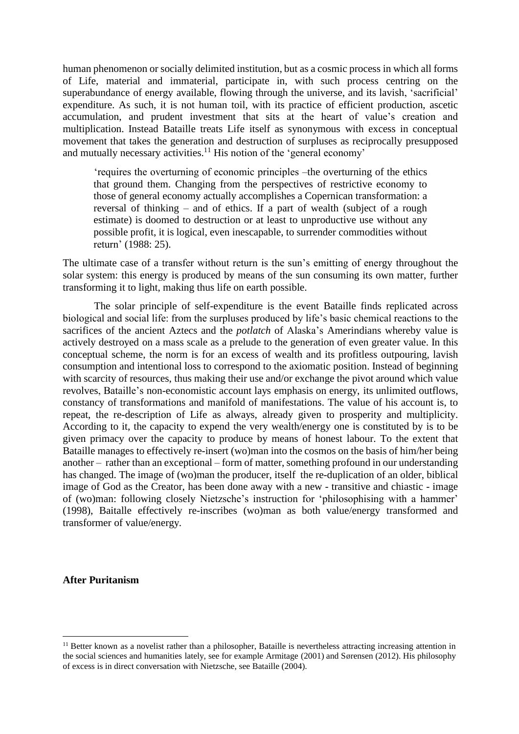human phenomenon or socially delimited institution, but as a cosmic process in which all forms of Life, material and immaterial, participate in, with such process centring on the superabundance of energy available, flowing through the universe, and its lavish, 'sacrificial' expenditure. As such, it is not human toil, with its practice of efficient production, ascetic accumulation, and prudent investment that sits at the heart of value's creation and multiplication. Instead Bataille treats Life itself as synonymous with excess in conceptual movement that takes the generation and destruction of surpluses as reciprocally presupposed and mutually necessary activities.<sup>11</sup> His notion of the 'general economy'

'requires the overturning of economic principles –the overturning of the ethics that ground them. Changing from the perspectives of restrictive economy to those of general economy actually accomplishes a Copernican transformation: a reversal of thinking – and of ethics. If a part of wealth (subject of a rough estimate) is doomed to destruction or at least to unproductive use without any possible profit, it is logical, even inescapable, to surrender commodities without return' (1988: 25).

The ultimate case of a transfer without return is the sun's emitting of energy throughout the solar system: this energy is produced by means of the sun consuming its own matter, further transforming it to light, making thus life on earth possible.

The solar principle of self-expenditure is the event Bataille finds replicated across biological and social life: from the surpluses produced by life's basic chemical reactions to the sacrifices of the ancient Aztecs and the *potlatch* of Alaska's Amerindians whereby value is actively destroyed on a mass scale as a prelude to the generation of even greater value. In this conceptual scheme, the norm is for an excess of wealth and its profitless outpouring, lavish consumption and intentional loss to correspond to the axiomatic position. Instead of beginning with scarcity of resources, thus making their use and/or exchange the pivot around which value revolves, Bataille's non-economistic account lays emphasis on energy, its unlimited outflows, constancy of transformations and manifold of manifestations. The value of his account is, to repeat, the re-description of Life as always, already given to prosperity and multiplicity. According to it, the capacity to expend the very wealth/energy one is constituted by is to be given primacy over the capacity to produce by means of honest labour. To the extent that Bataille manages to effectively re-insert (wo)man into the cosmos on the basis of him/her being another – rather than an exceptional – form of matter, something profound in our understanding has changed. The image of (wo)man the producer, itself the re-duplication of an older, biblical image of God as the Creator, has been done away with a new - transitive and chiastic - image of (wo)man: following closely Nietzsche's instruction for 'philosophising with a hammer' (1998), Baitalle effectively re-inscribes (wo)man as both value/energy transformed and transformer of value/energy.

### **After Puritanism**

1

<sup>&</sup>lt;sup>11</sup> Better known as a novelist rather than a philosopher, Bataille is nevertheless attracting increasing attention in the social sciences and humanities lately, see for example Armitage (2001) and Sørensen (2012). His philosophy of excess is in direct conversation with Nietzsche, see Bataille (2004).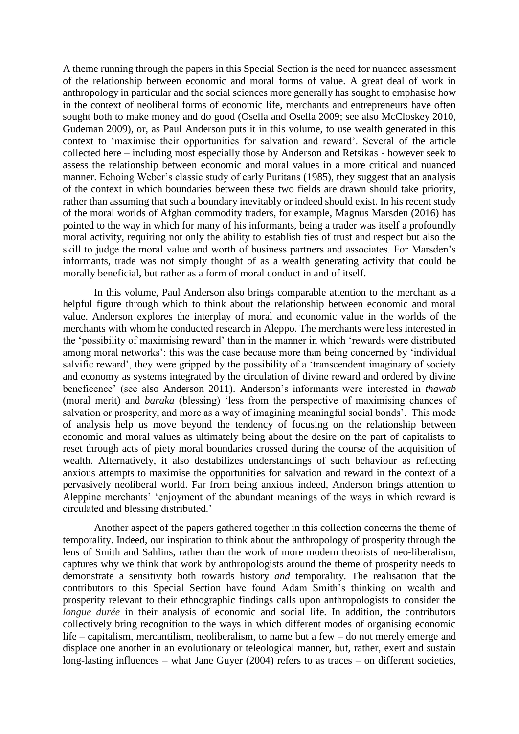A theme running through the papers in this Special Section is the need for nuanced assessment of the relationship between economic and moral forms of value. A great deal of work in anthropology in particular and the social sciences more generally has sought to emphasise how in the context of neoliberal forms of economic life, merchants and entrepreneurs have often sought both to make money and do good (Osella and Osella 2009; see also McCloskey 2010, Gudeman 2009), or, as Paul Anderson puts it in this volume, to use wealth generated in this context to 'maximise their opportunities for salvation and reward'. Several of the article collected here – including most especially those by Anderson and Retsikas - however seek to assess the relationship between economic and moral values in a more critical and nuanced manner. Echoing Weber's classic study of early Puritans (1985), they suggest that an analysis of the context in which boundaries between these two fields are drawn should take priority, rather than assuming that such a boundary inevitably or indeed should exist. In his recent study of the moral worlds of Afghan commodity traders, for example, Magnus Marsden (2016) has pointed to the way in which for many of his informants, being a trader was itself a profoundly moral activity, requiring not only the ability to establish ties of trust and respect but also the skill to judge the moral value and worth of business partners and associates. For Marsden's informants, trade was not simply thought of as a wealth generating activity that could be morally beneficial, but rather as a form of moral conduct in and of itself.

In this volume, Paul Anderson also brings comparable attention to the merchant as a helpful figure through which to think about the relationship between economic and moral value. Anderson explores the interplay of moral and economic value in the worlds of the merchants with whom he conducted research in Aleppo. The merchants were less interested in the 'possibility of maximising reward' than in the manner in which 'rewards were distributed among moral networks': this was the case because more than being concerned by 'individual salvific reward', they were gripped by the possibility of a 'transcendent imaginary of society and economy as systems integrated by the circulation of divine reward and ordered by divine beneficence' (see also Anderson 2011). Anderson's informants were interested in *thawab* (moral merit) and *baraka* (blessing) 'less from the perspective of maximising chances of salvation or prosperity, and more as a way of imagining meaningful social bonds'. This mode of analysis help us move beyond the tendency of focusing on the relationship between economic and moral values as ultimately being about the desire on the part of capitalists to reset through acts of piety moral boundaries crossed during the course of the acquisition of wealth. Alternatively, it also destabilizes understandings of such behaviour as reflecting anxious attempts to maximise the opportunities for salvation and reward in the context of a pervasively neoliberal world. Far from being anxious indeed, Anderson brings attention to Aleppine merchants' 'enjoyment of the abundant meanings of the ways in which reward is circulated and blessing distributed.'

Another aspect of the papers gathered together in this collection concerns the theme of temporality. Indeed, our inspiration to think about the anthropology of prosperity through the lens of Smith and Sahlins, rather than the work of more modern theorists of neo-liberalism, captures why we think that work by anthropologists around the theme of prosperity needs to demonstrate a sensitivity both towards history *and* temporality. The realisation that the contributors to this Special Section have found Adam Smith's thinking on wealth and prosperity relevant to their ethnographic findings calls upon anthropologists to consider the *longue durée* in their analysis of economic and social life. In addition, the contributors collectively bring recognition to the ways in which different modes of organising economic life – capitalism, mercantilism, neoliberalism, to name but a few – do not merely emerge and displace one another in an evolutionary or teleological manner, but, rather, exert and sustain long-lasting influences – what Jane Guyer (2004) refers to as traces – on different societies,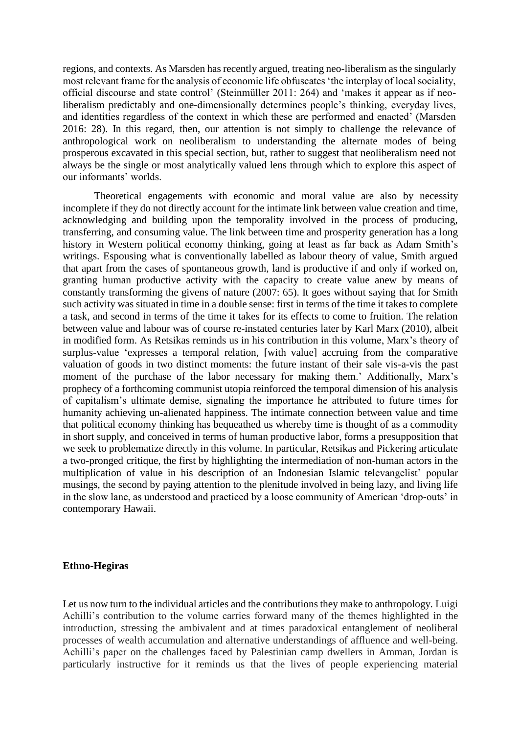regions, and contexts. As Marsden has recently argued, treating neo-liberalism as the singularly most relevant frame for the analysis of economic life obfuscates 'the interplay of local sociality, official discourse and state control' (Steinmüller 2011: 264) and 'makes it appear as if neoliberalism predictably and one-dimensionally determines people's thinking, everyday lives, and identities regardless of the context in which these are performed and enacted' (Marsden 2016: 28). In this regard, then, our attention is not simply to challenge the relevance of anthropological work on neoliberalism to understanding the alternate modes of being prosperous excavated in this special section, but, rather to suggest that neoliberalism need not always be the single or most analytically valued lens through which to explore this aspect of our informants' worlds.

Theoretical engagements with economic and moral value are also by necessity incomplete if they do not directly account for the intimate link between value creation and time, acknowledging and building upon the temporality involved in the process of producing, transferring, and consuming value. The link between time and prosperity generation has a long history in Western political economy thinking, going at least as far back as Adam Smith's writings. Espousing what is conventionally labelled as labour theory of value, Smith argued that apart from the cases of spontaneous growth, land is productive if and only if worked on, granting human productive activity with the capacity to create value anew by means of constantly transforming the givens of nature (2007: 65). It goes without saying that for Smith such activity was situated in time in a double sense: first in terms of the time it takes to complete a task, and second in terms of the time it takes for its effects to come to fruition. The relation between value and labour was of course re-instated centuries later by Karl Marx (2010), albeit in modified form. As Retsikas reminds us in his contribution in this volume, Marx's theory of surplus-value 'expresses a temporal relation, [with value] accruing from the comparative valuation of goods in two distinct moments: the future instant of their sale vis-a-vis the past moment of the purchase of the labor necessary for making them.' Additionally, Marx's prophecy of a forthcoming communist utopia reinforced the temporal dimension of his analysis of capitalism's ultimate demise, signaling the importance he attributed to future times for humanity achieving un-alienated happiness. The intimate connection between value and time that political economy thinking has bequeathed us whereby time is thought of as a commodity in short supply, and conceived in terms of human productive labor, forms a presupposition that we seek to problematize directly in this volume. In particular, Retsikas and Pickering articulate a two-pronged critique, the first by highlighting the intermediation of non-human actors in the multiplication of value in his description of an Indonesian Islamic televangelist' popular musings, the second by paying attention to the plenitude involved in being lazy, and living life in the slow lane, as understood and practiced by a loose community of American 'drop-outs' in contemporary Hawaii.

#### **Ethno-Hegiras**

Let us now turn to the individual articles and the contributions they make to anthropology. Luigi Achilli's contribution to the volume carries forward many of the themes highlighted in the introduction, stressing the ambivalent and at times paradoxical entanglement of neoliberal processes of wealth accumulation and alternative understandings of affluence and well-being. Achilli's paper on the challenges faced by Palestinian camp dwellers in Amman, Jordan is particularly instructive for it reminds us that the lives of people experiencing material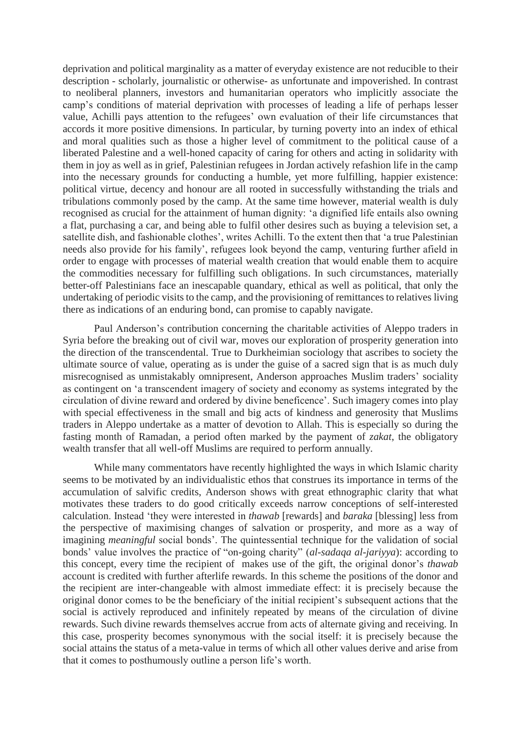deprivation and political marginality as a matter of everyday existence are not reducible to their description - scholarly, journalistic or otherwise- as unfortunate and impoverished. In contrast to neoliberal planners, investors and humanitarian operators who implicitly associate the camp's conditions of material deprivation with processes of leading a life of perhaps lesser value, Achilli pays attention to the refugees' own evaluation of their life circumstances that accords it more positive dimensions. In particular, by turning poverty into an index of ethical and moral qualities such as those a higher level of commitment to the political cause of a liberated Palestine and a well-honed capacity of caring for others and acting in solidarity with them in joy as well as in grief, Palestinian refugees in Jordan actively refashion life in the camp into the necessary grounds for conducting a humble, yet more fulfilling, happier existence: political virtue, decency and honour are all rooted in successfully withstanding the trials and tribulations commonly posed by the camp. At the same time however, material wealth is duly recognised as crucial for the attainment of human dignity: 'a dignified life entails also owning a flat, purchasing a car, and being able to fulfil other desires such as buying a television set, a satellite dish, and fashionable clothes', writes Achilli. To the extent then that 'a true Palestinian needs also provide for his family', refugees look beyond the camp, venturing further afield in order to engage with processes of material wealth creation that would enable them to acquire the commodities necessary for fulfilling such obligations. In such circumstances, materially better-off Palestinians face an inescapable quandary, ethical as well as political, that only the undertaking of periodic visits to the camp, and the provisioning of remittances to relatives living there as indications of an enduring bond, can promise to capably navigate.

Paul Anderson's contribution concerning the charitable activities of Aleppo traders in Syria before the breaking out of civil war, moves our exploration of prosperity generation into the direction of the transcendental. True to Durkheimian sociology that ascribes to society the ultimate source of value, operating as is under the guise of a sacred sign that is as much duly misrecognised as unmistakably omnipresent, Anderson approaches Muslim traders' sociality as contingent on 'a transcendent imagery of society and economy as systems integrated by the circulation of divine reward and ordered by divine beneficence'. Such imagery comes into play with special effectiveness in the small and big acts of kindness and generosity that Muslims traders in Aleppo undertake as a matter of devotion to Allah. This is especially so during the fasting month of Ramadan, a period often marked by the payment of *zakat*, the obligatory wealth transfer that all well-off Muslims are required to perform annually.

While many commentators have recently highlighted the ways in which Islamic charity seems to be motivated by an individualistic ethos that construes its importance in terms of the accumulation of salvific credits, Anderson shows with great ethnographic clarity that what motivates these traders to do good critically exceeds narrow conceptions of self-interested calculation. Instead 'they were interested in *thawab* [rewards] and *baraka* [blessing] less from the perspective of maximising changes of salvation or prosperity, and more as a way of imagining *meaningful* social bonds'. The quintessential technique for the validation of social bonds' value involves the practice of "on-going charity" (*al-sadaqa al-jariyya*): according to this concept, every time the recipient of makes use of the gift, the original donor's *thawab* account is credited with further afterlife rewards. In this scheme the positions of the donor and the recipient are inter-changeable with almost immediate effect: it is precisely because the original donor comes to be the beneficiary of the initial recipient's subsequent actions that the social is actively reproduced and infinitely repeated by means of the circulation of divine rewards. Such divine rewards themselves accrue from acts of alternate giving and receiving. In this case, prosperity becomes synonymous with the social itself: it is precisely because the social attains the status of a meta-value in terms of which all other values derive and arise from that it comes to posthumously outline a person life's worth.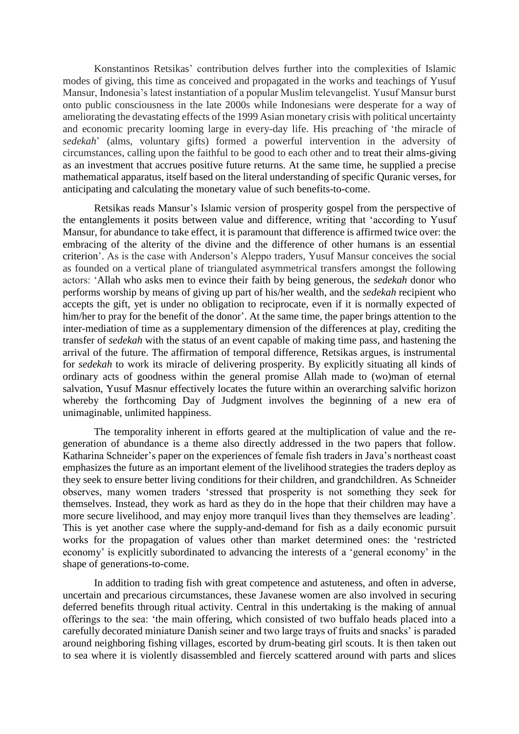Konstantinos Retsikas' contribution delves further into the complexities of Islamic modes of giving, this time as conceived and propagated in the works and teachings of Yusuf Mansur, Indonesia's latest instantiation of a popular Muslim televangelist. Yusuf Mansur burst onto public consciousness in the late 2000s while Indonesians were desperate for a way of ameliorating the devastating effects of the 1999 Asian monetary crisis with political uncertainty and economic precarity looming large in every-day life. His preaching of 'the miracle of *sedekah*' (alms, voluntary gifts) formed a powerful intervention in the adversity of circumstances, calling upon the faithful to be good to each other and to treat their alms-giving as an investment that accrues positive future returns. At the same time, he supplied a precise mathematical apparatus, itself based on the literal understanding of specific Quranic verses, for anticipating and calculating the monetary value of such benefits-to-come.

Retsikas reads Mansur's Islamic version of prosperity gospel from the perspective of the entanglements it posits between value and difference, writing that 'according to Yusuf Mansur, for abundance to take effect, it is paramount that difference is affirmed twice over: the embracing of the alterity of the divine and the difference of other humans is an essential criterion'. As is the case with Anderson's Aleppo traders, Yusuf Mansur conceives the social as founded on a vertical plane of triangulated asymmetrical transfers amongst the following actors: 'Allah who asks men to evince their faith by being generous, the *sedekah* donor who performs worship by means of giving up part of his/her wealth, and the *sedekah* recipient who accepts the gift, yet is under no obligation to reciprocate, even if it is normally expected of him/her to pray for the benefit of the donor'. At the same time, the paper brings attention to the inter-mediation of time as a supplementary dimension of the differences at play, crediting the transfer of *sedekah* with the status of an event capable of making time pass, and hastening the arrival of the future. The affirmation of temporal difference, Retsikas argues, is instrumental for *sedekah* to work its miracle of delivering prosperity. By explicitly situating all kinds of ordinary acts of goodness within the general promise Allah made to (wo)man of eternal salvation, Yusuf Masnur effectively locates the future within an overarching salvific horizon whereby the forthcoming Day of Judgment involves the beginning of a new era of unimaginable, unlimited happiness.

The temporality inherent in efforts geared at the multiplication of value and the regeneration of abundance is a theme also directly addressed in the two papers that follow. Katharina Schneider's paper on the experiences of female fish traders in Java's northeast coast emphasizes the future as an important element of the livelihood strategies the traders deploy as they seek to ensure better living conditions for their children, and grandchildren. As Schneider observes, many women traders 'stressed that prosperity is not something they seek for themselves. Instead, they work as hard as they do in the hope that their children may have a more secure livelihood, and may enjoy more tranquil lives than they themselves are leading'. This is yet another case where the supply-and-demand for fish as a daily economic pursuit works for the propagation of values other than market determined ones: the 'restricted economy' is explicitly subordinated to advancing the interests of a 'general economy' in the shape of generations-to-come.

In addition to trading fish with great competence and astuteness, and often in adverse, uncertain and precarious circumstances, these Javanese women are also involved in securing deferred benefits through ritual activity. Central in this undertaking is the making of annual offerings to the sea: 'the main offering, which consisted of two buffalo heads placed into a carefully decorated miniature Danish seiner and two large trays of fruits and snacks' is paraded around neighboring fishing villages, escorted by drum-beating girl scouts. It is then taken out to sea where it is violently disassembled and fiercely scattered around with parts and slices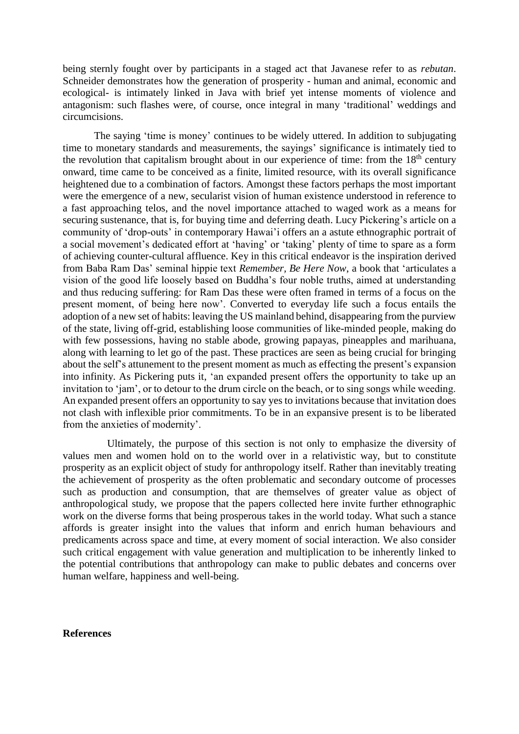being sternly fought over by participants in a staged act that Javanese refer to as *rebutan*. Schneider demonstrates how the generation of prosperity - human and animal, economic and ecological- is intimately linked in Java with brief yet intense moments of violence and antagonism: such flashes were, of course, once integral in many 'traditional' weddings and circumcisions.

The saying 'time is money' continues to be widely uttered. In addition to subjugating time to monetary standards and measurements, the sayings' significance is intimately tied to the revolution that capitalism brought about in our experience of time: from the  $18<sup>th</sup>$  century onward, time came to be conceived as a finite, limited resource, with its overall significance heightened due to a combination of factors. Amongst these factors perhaps the most important were the emergence of a new, secularist vision of human existence understood in reference to a fast approaching telos, and the novel importance attached to waged work as a means for securing sustenance, that is, for buying time and deferring death. Lucy Pickering's article on a community of 'drop-outs' in contemporary Hawai'i offers an a astute ethnographic portrait of a social movement's dedicated effort at 'having' or 'taking' plenty of time to spare as a form of achieving counter-cultural affluence. Key in this critical endeavor is the inspiration derived from Baba Ram Das' seminal hippie text *Remember, Be Here Now*, a book that 'articulates a vision of the good life loosely based on Buddha's four noble truths, aimed at understanding and thus reducing suffering: for Ram Das these were often framed in terms of a focus on the present moment, of being here now'. Converted to everyday life such a focus entails the adoption of a new set of habits: leaving the US mainland behind, disappearing from the purview of the state, living off-grid, establishing loose communities of like-minded people, making do with few possessions, having no stable abode, growing papayas, pineapples and marihuana, along with learning to let go of the past. These practices are seen as being crucial for bringing about the self's attunement to the present moment as much as effecting the present's expansion into infinity. As Pickering puts it, 'an expanded present offers the opportunity to take up an invitation to 'jam', or to detour to the drum circle on the beach, or to sing songs while weeding. An expanded present offers an opportunity to say yes to invitations because that invitation does not clash with inflexible prior commitments. To be in an expansive present is to be liberated from the anxieties of modernity'.

 Ultimately, the purpose of this section is not only to emphasize the diversity of values men and women hold on to the world over in a relativistic way, but to constitute prosperity as an explicit object of study for anthropology itself. Rather than inevitably treating the achievement of prosperity as the often problematic and secondary outcome of processes such as production and consumption, that are themselves of greater value as object of anthropological study, we propose that the papers collected here invite further ethnographic work on the diverse forms that being prosperous takes in the world today. What such a stance affords is greater insight into the values that inform and enrich human behaviours and predicaments across space and time, at every moment of social interaction. We also consider such critical engagement with value generation and multiplication to be inherently linked to the potential contributions that anthropology can make to public debates and concerns over human welfare, happiness and well-being.

**References**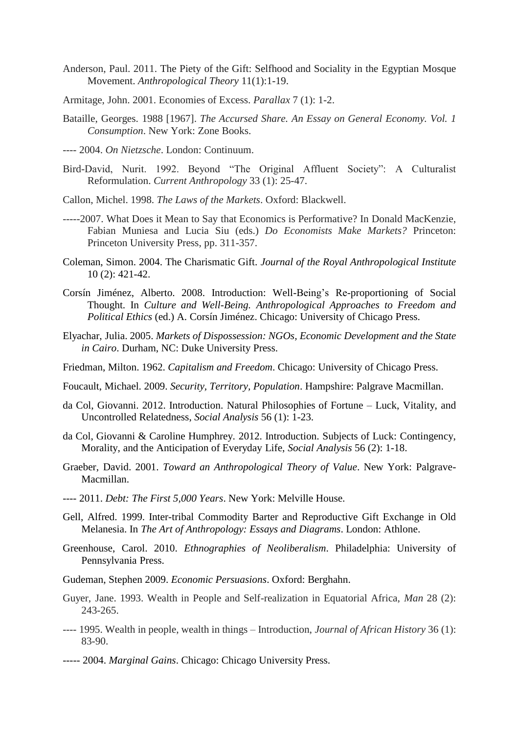- Anderson, Paul. 2011. The Piety of the Gift: Selfhood and Sociality in the Egyptian Mosque Movement. *Anthropological Theory* 11(1):1-19.
- Armitage, John. 2001. Economies of Excess. *Parallax* 7 (1): 1-2.
- Bataille, Georges. 1988 [1967]. *The Accursed Share. An Essay on General Economy. Vol. 1 Consumption*. New York: Zone Books.
- ---- 2004. *On Nietzsche*. London: Continuum.
- Bird-David, Nurit. 1992. Beyond "The Original Affluent Society": A Culturalist Reformulation. *Current Anthropology* 33 (1): 25-47.
- Callon, Michel. 1998. *The Laws of the Markets*. Oxford: Blackwell.
- -----2007. What Does it Mean to Say that Economics is Performative? In Donald MacKenzie, Fabian Muniesa and Lucia Siu (eds.) *Do Economists Make Markets?* Princeton: Princeton University Press, pp. 311-357.
- Coleman, Simon. 2004. The Charismatic Gift. *Journal of the Royal Anthropological Institute* 10 (2): 421-42.
- Corsín Jiménez, Alberto. 2008. Introduction: Well-Being's Re-proportioning of Social Thought. In *Culture and Well-Being. Anthropological Approaches to Freedom and Political Ethics* (ed.) A. Corsín Jiménez. Chicago: University of Chicago Press.
- Elyachar, Julia. 2005. *Markets of Dispossession: NGOs, Economic Development and the State in Cairo*. Durham, NC: Duke University Press.
- Friedman, Milton. 1962. *Capitalism and Freedom*. Chicago: University of Chicago Press.
- Foucault, Michael. 2009. *Security, Territory, Population*. Hampshire: Palgrave Macmillan.
- da Col, Giovanni. 2012. Introduction. Natural Philosophies of Fortune Luck, Vitality, and Uncontrolled Relatedness, *Social Analysis* 56 (1): 1-23.
- da Col, Giovanni & Caroline Humphrey. 2012. Introduction. Subjects of Luck: Contingency, Morality, and the Anticipation of Everyday Life, *Social Analysis* 56 (2): 1-18.
- Graeber, David. 2001. *Toward an Anthropological Theory of Value*. New York: Palgrave-Macmillan.
- ---- 2011. *Debt: The First 5,000 Years*. New York: Melville House.
- Gell, Alfred. 1999. Inter-tribal Commodity Barter and Reproductive Gift Exchange in Old Melanesia. In *The Art of Anthropology: Essays and Diagrams*. London: Athlone.
- Greenhouse, Carol. 2010. *Ethnographies of Neoliberalism*. Philadelphia: University of Pennsylvania Press.
- Gudeman, Stephen 2009. *Economic Persuasions*. Oxford: Berghahn.
- Guyer, Jane. 1993. Wealth in People and Self-realization in Equatorial Africa, *Man* 28 (2): 243-265.
- ---- 1995. Wealth in people, wealth in things Introduction, *Journal of African History* 36 (1): 83-90.
- ----- 2004. *Marginal Gains*. Chicago: Chicago University Press.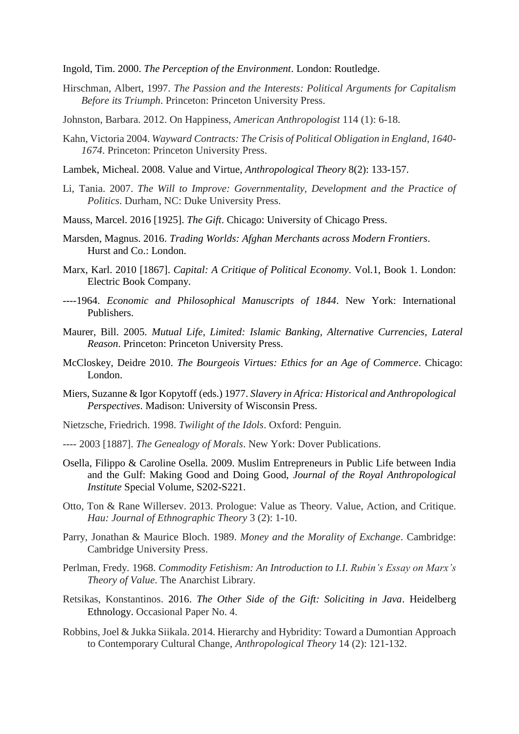Ingold, Tim. 2000. *The Perception of the Environment*. London: Routledge.

- Hirschman, Albert, 1997. *The Passion and the Interests: Political Arguments for Capitalism Before its Triumph*. Princeton: Princeton University Press.
- Johnston, Barbara. 2012. On Happiness, *American Anthropologist* 114 (1): 6-18.
- Kahn, Victoria 2004. *Wayward Contracts: The Crisis of Political Obligation in England, 1640- 1674*. Princeton: Princeton University Press.
- Lambek, Micheal. 2008. Value and Virtue, *Anthropological Theory* 8(2): 133-157.
- Li, Tania. 2007. *The Will to Improve: Governmentality, Development and the Practice of Politics*. Durham, NC: Duke University Press.
- Mauss, Marcel. 2016 [1925]. *The Gift*. Chicago: University of Chicago Press.
- Marsden, Magnus. 2016. *Trading Worlds: Afghan Merchants across Modern Frontiers*. Hurst and Co.: London.
- Marx, Karl. 2010 [1867]. *Capital: A Critique of Political Economy*. Vol.1, Book 1. London: Electric Book Company.
- ----1964. *Economic and Philosophical Manuscripts of 1844*. New York: International Publishers.
- Maurer, Bill. 2005. *Mutual Life, Limited: Islamic Banking, Alternative Currencies, Lateral Reason*. Princeton: Princeton University Press.
- McCloskey, Deidre 2010. *The Bourgeois Virtues: Ethics for an Age of Commerce*. Chicago: London.
- Miers, Suzanne & Igor Kopytoff (eds.) 1977. *Slavery in Africa: Historical and Anthropological Perspectives*. Madison: University of Wisconsin Press.
- Nietzsche, Friedrich. 1998. *Twilight of the Idols*. Oxford: Penguin.
- ---- 2003 [1887]. *The Genealogy of Morals*. New York: Dover Publications.
- Osella, Filippo & Caroline Osella. 2009. Muslim Entrepreneurs in Public Life between India and the Gulf: Making Good and Doing Good, *Journal of the Royal Anthropological Institute* Special Volume, S202-S221.
- Otto, Ton & Rane Willersev. 2013. Prologue: Value as Theory. Value, Action, and Critique. *Hau: Journal of Ethnographic Theory* 3 (2): 1-10.
- Parry, Jonathan & Maurice Bloch. 1989. *Money and the Morality of Exchange*. Cambridge: Cambridge University Press.
- Perlman, Fredy. 1968. *Commodity Fetishism: An Introduction to I.I. Rubin's Essay on Marx's Theory of Value*. The Anarchist Library.
- Retsikas, Konstantinos. 2016. *The Other Side of the Gift: Soliciting in Java*. Heidelberg Ethnology. Occasional Paper No. 4.
- Robbins, Joel & Jukka Siikala. 2014. Hierarchy and Hybridity: Toward a Dumontian Approach to Contemporary Cultural Change, *Anthropological Theory* 14 (2): 121-132.